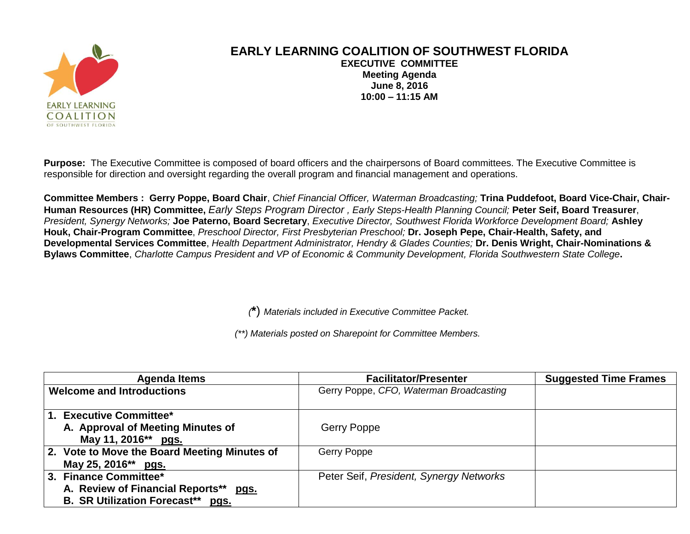

## **EARLY LEARNING COALITION OF SOUTHWEST FLORIDA EXECUTIVE COMMITTEE Meeting Agenda June 8, 2016 10:00 – 11:15 AM**

**Purpose:** The Executive Committee is composed of board officers and the chairpersons of Board committees. The Executive Committee is responsible for direction and oversight regarding the overall program and financial management and operations.

**Committee Members : Gerry Poppe, Board Chair**, *Chief Financial Officer, Waterman Broadcasting;* **Trina Puddefoot, Board Vice-Chair, Chair-Human Resources (HR) Committee,** *Early Steps Program Director , Early Steps-Health Planning Council;* **Peter Seif, Board Treasurer**, *President, Synergy Networks;* **Joe Paterno, Board Secretary**, *Executive Director, Southwest Florida Workforce Development Board;* **Ashley Houk, Chair-Program Committee**, *Preschool Director, First Presbyterian Preschool;* **Dr. Joseph Pepe, Chair-Health, Safety, and Developmental Services Committee**, *Health Department Administrator, Hendry & Glades Counties;* **Dr. Denis Wright, Chair-Nominations & Bylaws Committee**, *Charlotte Campus President and VP of Economic & Community Development, Florida Southwestern State College***.**

*(***\***) *Materials included in Executive Committee Packet.*

*(\*\*) Materials posted on Sharepoint for Committee Members.*

| <b>Agenda Items</b>                             | <b>Facilitator/Presenter</b>            | <b>Suggested Time Frames</b> |
|-------------------------------------------------|-----------------------------------------|------------------------------|
| <b>Welcome and Introductions</b>                | Gerry Poppe, CFO, Waterman Broadcasting |                              |
| 1. Executive Committee*                         |                                         |                              |
| A. Approval of Meeting Minutes of               | Gerry Poppe                             |                              |
| May 11, 2016** pgs.                             |                                         |                              |
| 2. Vote to Move the Board Meeting Minutes of    | Gerry Poppe                             |                              |
| May 25, 2016** pgs.                             |                                         |                              |
| 3. Finance Committee*                           | Peter Seif, President, Synergy Networks |                              |
| A. Review of Financial Reports**<br><u>pgs.</u> |                                         |                              |
| <b>B. SR Utilization Forecast**</b> pgs.        |                                         |                              |